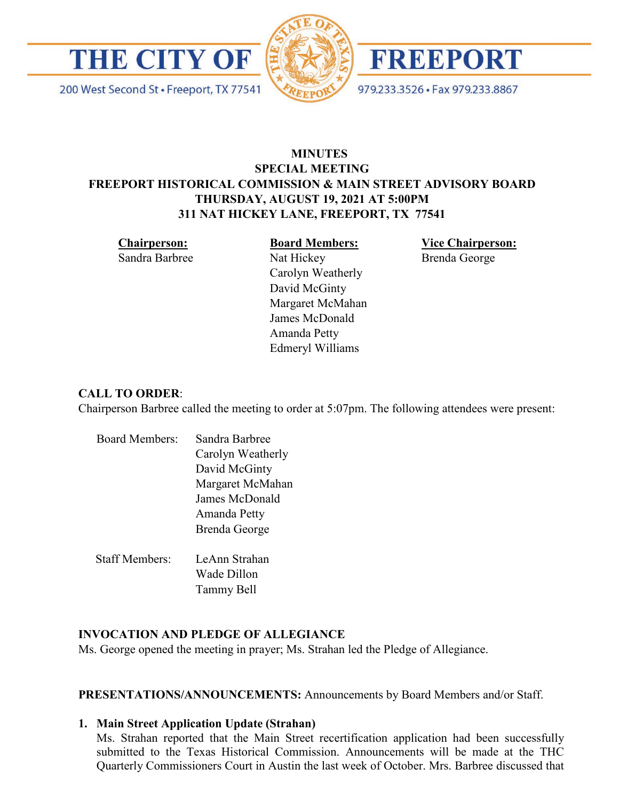

200 West Second St · Freeport, TX 77541





979.233.3526 · Fax 979.233.8867

# **MINUTES SPECIAL MEETING FREEPORT HISTORICAL COMMISSION & MAIN STREET ADVISORY BOARD THURSDAY, AUGUST 19, 2021 AT 5:00PM 311 NAT HICKEY LANE, FREEPORT, TX 77541**

**Chairperson:**  Sandra Barbree **Board Members:**

Carolyn Weatherly

Nat Hickey

**Vice Chairperson:**  Brenda George

David McGinty Margaret McMahan James McDonald Amanda Petty Edmeryl Williams

# **CALL TO ORDER**:

Chairperson Barbree called the meeting to order at 5:07pm. The following attendees were present:

| <b>Board Members:</b> | Sandra Barbree    |
|-----------------------|-------------------|
|                       | Carolyn Weatherly |
|                       | David McGinty     |
|                       | Margaret McMahan  |
|                       | James McDonald    |
|                       | Amanda Petty      |
|                       | Brenda George     |
| <b>Staff Members:</b> | LeAnn Strahan     |
|                       | Wade Dillon       |
|                       | Tammy Bell        |
|                       |                   |

# **INVOCATION AND PLEDGE OF ALLEGIANCE**

Ms. George opened the meeting in prayer; Ms. Strahan led the Pledge of Allegiance.

**PRESENTATIONS/ANNOUNCEMENTS:** Announcements by Board Members and/or Staff.

# **1. Main Street Application Update (Strahan)**

Ms. Strahan reported that the Main Street recertification application had been successfully submitted to the Texas Historical Commission. Announcements will be made at the THC Quarterly Commissioners Court in Austin the last week of October. Mrs. Barbree discussed that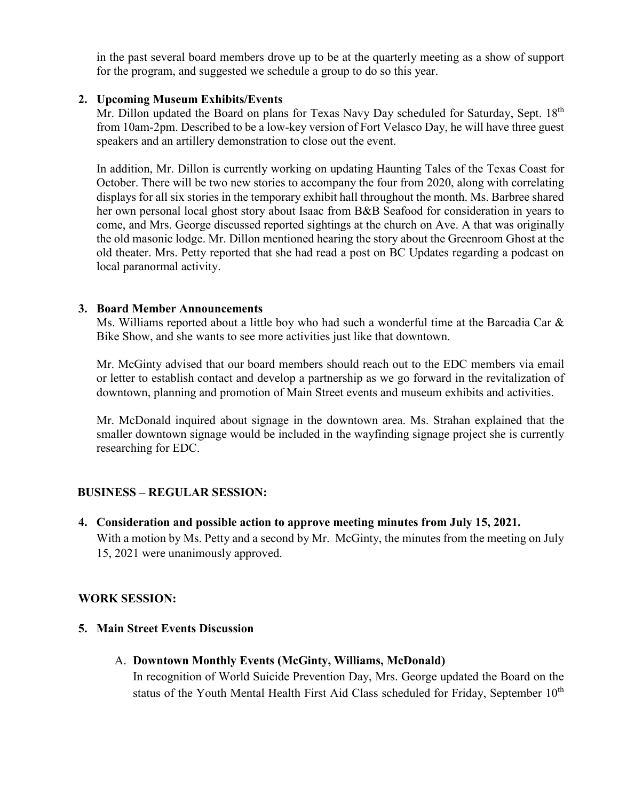in the past several board members drove up to be at the quarterly meeting as a show of support for the program, and suggested we schedule a group to do so this year.

#### **2. Upcoming Museum Exhibits/Events**

Mr. Dillon updated the Board on plans for Texas Navy Day scheduled for Saturday, Sept.  $18<sup>th</sup>$ from 10am-2pm. Described to be a low-key version of Fort Velasco Day, he will have three guest speakers and an artillery demonstration to close out the event.

In addition, Mr. Dillon is currently working on updating Haunting Tales of the Texas Coast for October. There will be two new stories to accompany the four from 2020, along with correlating displays for all six stories in the temporary exhibit hall throughout the month. Ms. Barbree shared her own personal local ghost story about Isaac from B&B Seafood for consideration in years to come, and Mrs. George discussed reported sightings at the church on Ave. A that was originally the old masonic lodge. Mr. Dillon mentioned hearing the story about the Greenroom Ghost at the old theater. Mrs. Petty reported that she had read a post on BC Updates regarding a podcast on local paranormal activity.

#### **3. Board Member Announcements**

Ms. Williams reported about a little boy who had such a wonderful time at the Barcadia Car & Bike Show, and she wants to see more activities just like that downtown.

Mr. McGinty advised that our board members should reach out to the EDC members via email or letter to establish contact and develop a partnership as we go forward in the revitalization of downtown, planning and promotion of Main Street events and museum exhibits and activities.

Mr. McDonald inquired about signage in the downtown area. Ms. Strahan explained that the smaller downtown signage would be included in the wayfinding signage project she is currently researching for EDC.

# **BUSINESS – REGULAR SESSION:**

**4. Consideration and possible action to approve meeting minutes from July 15, 2021.**  With a motion by Ms. Petty and a second by Mr. McGinty, the minutes from the meeting on July 15, 2021 were unanimously approved.

# **WORK SESSION:**

- **5. Main Street Events Discussion**
	- A. **Downtown Monthly Events (McGinty, Williams, McDonald)**

In recognition of World Suicide Prevention Day, Mrs. George updated the Board on the status of the Youth Mental Health First Aid Class scheduled for Friday, September 10<sup>th</sup>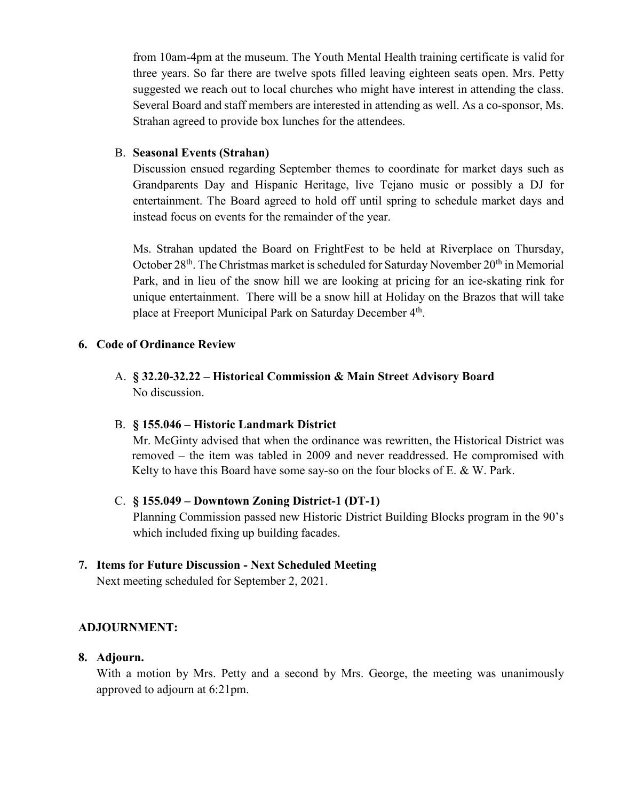from 10am-4pm at the museum. The Youth Mental Health training certificate is valid for three years. So far there are twelve spots filled leaving eighteen seats open. Mrs. Petty suggested we reach out to local churches who might have interest in attending the class. Several Board and staff members are interested in attending as well. As a co-sponsor, Ms. Strahan agreed to provide box lunches for the attendees.

#### B. **Seasonal Events (Strahan)**

Discussion ensued regarding September themes to coordinate for market days such as Grandparents Day and Hispanic Heritage, live Tejano music or possibly a DJ for entertainment. The Board agreed to hold off until spring to schedule market days and instead focus on events for the remainder of the year.

Ms. Strahan updated the Board on FrightFest to be held at Riverplace on Thursday, October 28<sup>th</sup>. The Christmas market is scheduled for Saturday November 20<sup>th</sup> in Memorial Park, and in lieu of the snow hill we are looking at pricing for an ice-skating rink for unique entertainment. There will be a snow hill at Holiday on the Brazos that will take place at Freeport Municipal Park on Saturday December  $4<sup>th</sup>$ .

#### **6. Code of Ordinance Review**

A. **§ 32.20-32.22 – Historical Commission & Main Street Advisory Board** No discussion.

# B. **§ 155.046 – Historic Landmark District**

Mr. McGinty advised that when the ordinance was rewritten, the Historical District was removed – the item was tabled in 2009 and never readdressed. He compromised with Kelty to have this Board have some say-so on the four blocks of  $E.$  & W. Park.

# C. **§ 155.049 – Downtown Zoning District-1 (DT-1)**

Planning Commission passed new Historic District Building Blocks program in the 90's which included fixing up building facades.

# **7. Items for Future Discussion - Next Scheduled Meeting**

Next meeting scheduled for September 2, 2021.

# **ADJOURNMENT:**

# **8. Adjourn.**

With a motion by Mrs. Petty and a second by Mrs. George, the meeting was unanimously approved to adjourn at 6:21pm.